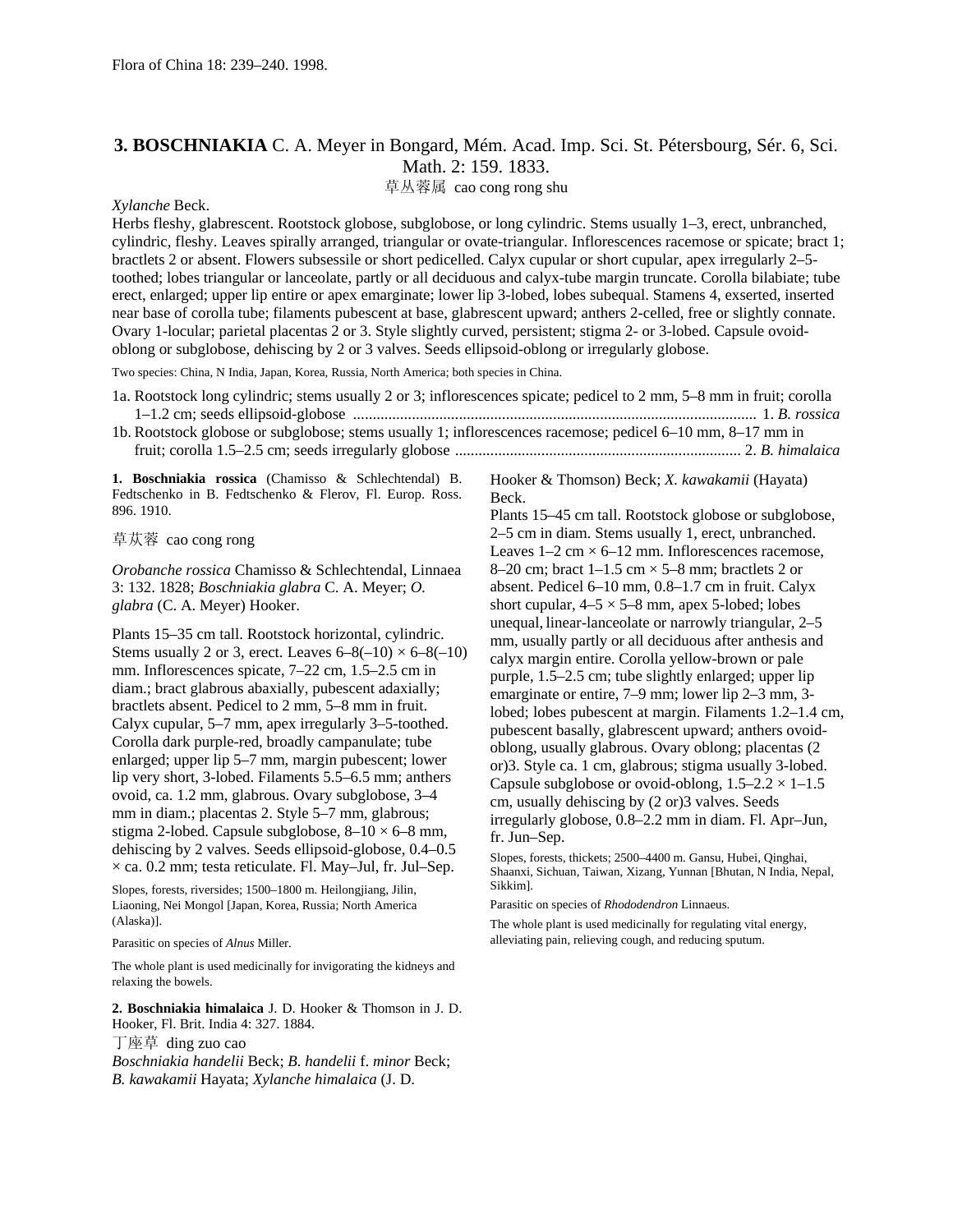## **3. BOSCHNIAKIA** C. A. Meyer in Bongard, Mém. Acad. Imp. Sci. St. Pétersbourg, Sér. 6, Sci. Math. 2: 159. 1833.

草丛蓉属 cao cong rong shu

## *Xylanche* Beck.

Herbs fleshy, glabrescent. Rootstock globose, subglobose, or long cylindric. Stems usually 1–3, erect, unbranched, cylindric, fleshy. Leaves spirally arranged, triangular or ovate-triangular. Inflorescences racemose or spicate; bract 1; bractlets 2 or absent. Flowers subsessile or short pedicelled. Calyx cupular or short cupular, apex irregularly 2–5 toothed; lobes triangular or lanceolate, partly or all deciduous and calyx-tube margin truncate. Corolla bilabiate; tube erect, enlarged; upper lip entire or apex emarginate; lower lip 3-lobed, lobes subequal. Stamens 4, exserted, inserted near base of corolla tube; filaments pubescent at base, glabrescent upward; anthers 2-celled, free or slightly connate. Ovary 1-locular; parietal placentas 2 or 3. Style slightly curved, persistent; stigma 2- or 3-lobed. Capsule ovoidoblong or subglobose, dehiscing by 2 or 3 valves. Seeds ellipsoid-oblong or irregularly globose.

Two species: China, N India, Japan, Korea, Russia, North America; both species in China.

| 1a. Rootstock long cylindric; stems usually 2 or 3; inflorescences spicate; pedicel to 2 mm, 5–8 mm in fruit; corolla |  |
|-----------------------------------------------------------------------------------------------------------------------|--|
|                                                                                                                       |  |
| 1b. Rootstock globose or subglobose; stems usually 1; inflorescences racemose; pedicel 6–10 mm, 8–17 mm in            |  |
|                                                                                                                       |  |

**1. Boschniakia rossica** (Chamisso & Schlechtendal) B. Fedtschenko in B. Fedtschenko & Flerov, Fl. Europ. Ross. 896. 1910.

草苁蓉 cao cong rong

*Orobanche rossica* Chamisso & Schlechtendal, Linnaea 3: 132. 1828; *Boschniakia glabra* C. A. Meyer; *O. glabra* (C. A. Meyer) Hooker.

Plants 15–35 cm tall. Rootstock horizontal, cylindric. Stems usually 2 or 3, erect. Leaves  $6-8(-10) \times 6-8(-10)$ mm. Inflorescences spicate, 7–22 cm, 1.5–2.5 cm in diam.; bract glabrous abaxially, pubescent adaxially; bractlets absent. Pedicel to 2 mm, 5–8 mm in fruit. Calyx cupular, 5–7 mm, apex irregularly 3–5-toothed. Corolla dark purple-red, broadly campanulate; tube enlarged; upper lip 5–7 mm, margin pubescent; lower lip very short, 3-lobed. Filaments 5.5–6.5 mm; anthers ovoid, ca. 1.2 mm, glabrous. Ovary subglobose, 3–4 mm in diam.; placentas 2. Style 5–7 mm, glabrous; stigma 2-lobed. Capsule subglobose,  $8-10 \times 6-8$  mm, dehiscing by 2 valves. Seeds ellipsoid-globose, 0.4–0.5  $\times$  ca. 0.2 mm; testa reticulate. Fl. May–Jul, fr. Jul–Sep.

Slopes, forests, riversides; 1500–1800 m. Heilongjiang, Jilin, Liaoning, Nei Mongol [Japan, Korea, Russia; North America (Alaska)].

Parasitic on species of *Alnus* Miller.

The whole plant is used medicinally for invigorating the kidneys and relaxing the bowels.

**2. Boschniakia himalaica** J. D. Hooker & Thomson in J. D. Hooker, Fl. Brit. India 4: 327. 1884. 丁座草 ding zuo cao *Boschniakia handelii* Beck; *B. handelii* f. *minor* Beck;

*B. kawakamii* Hayata; *Xylanche himalaica* (J. D.

Hooker & Thomson) Beck; *X. kawakamii* (Hayata) Beck.

Plants 15–45 cm tall. Rootstock globose or subglobose, 2–5 cm in diam. Stems usually 1, erect, unbranched. Leaves  $1-2$  cm  $\times$  6-12 mm. Inflorescences racemose, 8–20 cm; bract  $1-1.5$  cm  $\times$  5–8 mm; bractlets 2 or absent. Pedicel 6–10 mm, 0.8–1.7 cm in fruit. Calyx short cupular,  $4-5 \times 5-8$  mm, apex 5-lobed; lobes unequal, linear-lanceolate or narrowly triangular, 2–5 mm, usually partly or all deciduous after anthesis and calyx margin entire. Corolla yellow-brown or pale purple, 1.5–2.5 cm; tube slightly enlarged; upper lip emarginate or entire, 7–9 mm; lower lip 2–3 mm, 3 lobed; lobes pubescent at margin. Filaments 1.2–1.4 cm, pubescent basally, glabrescent upward; anthers ovoidoblong, usually glabrous. Ovary oblong; placentas (2 or)3. Style ca. 1 cm, glabrous; stigma usually 3-lobed. Capsule subglobose or ovoid-oblong,  $1.5-2.2 \times 1-1.5$ cm, usually dehiscing by (2 or)3 valves. Seeds irregularly globose, 0.8–2.2 mm in diam. Fl. Apr–Jun, fr. Jun–Sep.

Slopes, forests, thickets; 2500–4400 m. Gansu, Hubei, Qinghai, Shaanxi, Sichuan, Taiwan, Xizang, Yunnan [Bhutan, N India, Nepal, Sikkim].

Parasitic on species of *Rhododendron* Linnaeus.

The whole plant is used medicinally for regulating vital energy, alleviating pain, relieving cough, and reducing sputum.